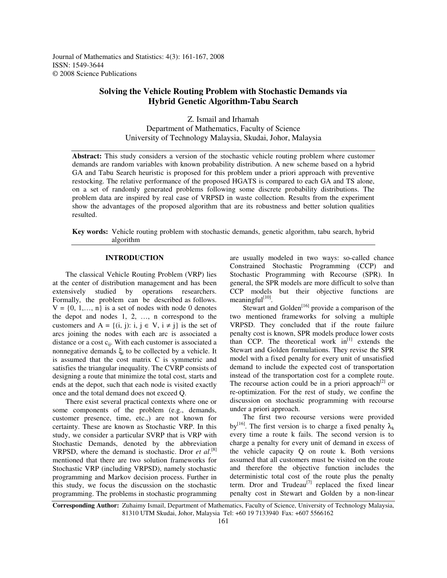Journal of Mathematics and Statistics: 4(3): 161-167, 2008 ISSN: 1549-3644 © 2008 Science Publications

# **Solving the Vehicle Routing Problem with Stochastic Demands via Hybrid Genetic Algorithm-Tabu Search**

Z. Ismail and Irhamah Department of Mathematics, Faculty of Science University of Technology Malaysia, Skudai, Johor, Malaysia

**Abstract:** This study considers a version of the stochastic vehicle routing problem where customer demands are random variables with known probability distribution. A new scheme based on a hybrid GA and Tabu Search heuristic is proposed for this problem under a priori approach with preventive restocking. The relative performance of the proposed HGATS is compared to each GA and TS alone, on a set of randomly generated problems following some discrete probability distributions. The problem data are inspired by real case of VRPSD in waste collection. Results from the experiment show the advantages of the proposed algorithm that are its robustness and better solution qualities resulted.

**Key words:** Vehicle routing problem with stochastic demands, genetic algorithm, tabu search, hybrid algorithm

## **INTRODUCTION**

The classical Vehicle Routing Problem (VRP) lies at the center of distribution management and has been extensively studied by operations researchers. Formally, the problem can be described as follows.  $V = \{0, 1, \ldots, n\}$  is a set of nodes with node 0 denotes the depot and nodes 1, 2, …, n correspond to the customers and  $A = \{(i, j): i, j \in V, i \neq j\}$  is the set of arcs joining the nodes with each arc is associated a distance or a cost  $c_{ij}$ . With each customer is associated a nonnegative demands  $\xi_i$  to be collected by a vehicle. It is assumed that the cost matrix C is symmetric and satisfies the triangular inequality. The CVRP consists of designing a route that minimize the total cost, starts and ends at the depot, such that each node is visited exactly once and the total demand does not exceed Q.

There exist several practical contexts where one or some components of the problem (e.g., demands, customer presence, time, etc.,) are not known for certainty. These are known as Stochastic VRP. In this study, we consider a particular SVRP that is VRP with Stochastic Demands, denoted by the abbreviation VRPSD, where the demand is stochastic. Dror *et al*. [8] mentioned that there are two solution frameworks for Stochastic VRP (including VRPSD), namely stochastic programming and Markov decision process. Further in this study, we focus the discussion on the stochastic programming. The problems in stochastic programming

are usually modeled in two ways: so-called chance Constrained Stochastic Programming (CCP) and Stochastic Programming with Recourse (SPR). In general, the SPR models are more difficult to solve than CCP models but their objective functions are meaningful<sup>[10]</sup>.

Stewart and Golden<sup>[16]</sup> provide a comparison of the two mentioned frameworks for solving a multiple VRPSD. They concluded that if the route failure penalty cost is known, SPR models produce lower costs than CCP. The theoretical work  $\text{in}^{\left[1\right]}$  extends the Stewart and Golden formulations. They revise the SPR model with a fixed penalty for every unit of unsatisfied demand to include the expected cost of transportation instead of the transportation cost for a complete route. The recourse action could be in a priori approach<sup>[2]</sup> or re-optimization. For the rest of study, we confine the discussion on stochastic programming with recourse under a priori approach.

The first two recourse versions were provided by<sup>[16]</sup>. The first version is to charge a fixed penalty  $\lambda_k$ every time a route k fails. The second version is to charge a penalty for every unit of demand in excess of the vehicle capacity Q on route k. Both versions assumed that all customers must be visited on the route and therefore the objective function includes the deterministic total cost of the route plus the penalty term. Dror and Trudeau<sup>[7]</sup> replaced the fixed linear penalty cost in Stewart and Golden by a non-linear

**Corresponding Author:** Zuhaimy Ismail, Department of Mathematics, Faculty of Science, University of Technology Malaysia, 81310 UTM Skudai, Johor, Malaysia Tel: +60 19 7133940 Fax: +607 5566162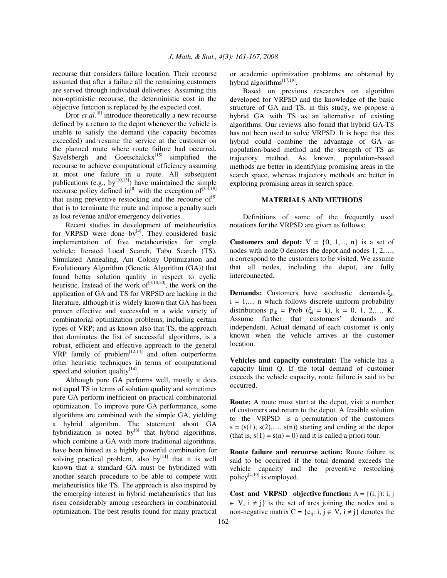recourse that considers failure location. Their recourse assumed that after a failure all the remaining customers are served through individual deliveries. Assuming this non-optimistic recourse, the deterministic cost in the objective function is replaced by the expected cost.

Dror *et al.*<sup>[8]</sup> introduce theoretically a new recourse defined by a return to the depot whenever the vehicle is unable to satisfy the demand (the capacity becomes exceeded) and resume the service at the customer on the planned route where route failure had occurred. Savelsbergh and Goetschalckx<sup>[15]</sup> simplified the recourse to achieve computational efficiency assuming at most one failure in a route. All subsequent publications (e.g., by  $[10, 13]$ ) have maintained the simple recourse policy defined in<sup>[8]</sup> with the exception of  $[3,4,19]$ that using preventive restocking and the recourse of<sup>[5]</sup> that is to terminate the route and impose a penalty such as lost revenue and/or emergency deliveries.

Recent studies in development of metaheuristics for VRPSD were done by $^{[4]}$ . They considered basic implementation of five metaheuristics for single vehicle: Iterated Local Search, Tabu Search (TS), Simulated Annealing, Ant Colony Optimization and Evolutionary Algorithm (Genetic Algorithm (GA)) that found better solution quality in respect to cyclic heuristic. Instead of the work of  $A^{[4,10,20]}$ , the work on the application of GA and TS for VRPSD are lacking in the literature, although it is widely known that GA has been proven effective and successful in a wide variety of combinatorial optimization problems, including certain types of VRP; and as known also that TS, the approach that dominates the list of successful algorithms, is a robust, efficient and effective approach to the general  $VRP$  family of problem<sup>[12,14]</sup> and often outperforms other heuristic techniques in terms of computational speed and solution quality<sup>[14]</sup>.

Although pure GA performs well, mostly it does not equal TS in terms of solution quality and sometimes pure GA perform inefficient on practical combinatorial optimization. To improve pure GA performance, some algorithms are combined with the simple GA, yielding a hybrid algorithm. The statement about GA hybridization is noted by<sup>[6]</sup> that hybrid algorithms, which combine a GA with more traditional algorithms, have been hinted as a highly powerful combination for solving practical problem, also  $by^{[11]}$  that it is well known that a standard GA must be hybridized with another search procedure to be able to compete with metaheuristics like TS. The approach is also inspired by the emerging interest in hybrid metaheuristics that has risen considerably among researchers in combinatorial optimization. The best results found for many practical or academic optimization problems are obtained by hybrid algorithms<sup>[17,19]</sup>.

Based on previous researches on algorithm developed for VRPSD and the knowledge of the basic structure of GA and TS, in this study, we propose a hybrid GA with TS as an alternative of existing algorithms. Our reviews also found that hybrid GA-TS has not been used to solve VRPSD. It is hope that this hybrid could combine the advantage of GA as population-based method and the strength of TS as trajectory method. As known, population-based methods are better in identifying promising areas in the search space, whereas trajectory methods are better in exploring promising areas in search space.

## **MATERIALS AND METHODS**

Definitions of some of the frequently used notations for the VRPSD are given as follows:

**Customers and depot:**  $V = \{0, 1, \ldots, n\}$  is a set of nodes with node 0 denotes the depot and nodes 1, 2,…, n correspond to the customers to be visited. We assume that all nodes, including the depot, are fully interconnected.

**Demands:** Customers have stochastic demands ξ<sub>i</sub>,  $i = 1, \ldots, n$  which follows discrete uniform probability distributions  $p_{ik}$  = Prob ( $\xi_i$  = k),  $k$  = 0, 1, 2,..., K. Assume further that customers' demands are independent. Actual demand of each customer is only known when the vehicle arrives at the customer location.

**Vehicles and capacity constraint:** The vehicle has a capacity limit Q. If the total demand of customer exceeds the vehicle capacity, route failure is said to be occurred.

**Route:** A route must start at the depot, visit a number of customers and return to the depot. A feasible solution to the VRPSD is a permutation of the customers  $s = (s(1), s(2), \ldots, s(n))$  starting and ending at the depot (that is,  $s(1) = s(n) = 0$ ) and it is called a priori tour.

**Route failure and recourse action:** Route failure is said to be occurred if the total demand exceeds the vehicle capacity and the preventive restocking policy $[4,19]$  is employed.

**Cost and VRPSD objective function:**  $A = \{(i, j): i, j\}$  $\in V$ ,  $i \neq j$  is the set of arcs joining the nodes and a non-negative matrix  $C = \{c_{ij}: i, j \in V, i \neq j\}$  denotes the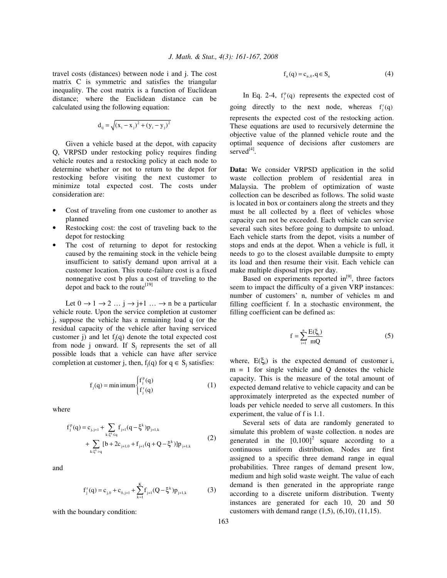travel costs (distances) between node i and j. The cost matrix C is symmetric and satisfies the triangular inequality. The cost matrix is a function of Euclidean distance; where the Euclidean distance can be calculated using the following equation:

$$
d_{ij} = \sqrt{(x_i - x_j)^2 + (y_i - y_j)^2}
$$

Given a vehicle based at the depot, with capacity Q, VRPSD under restocking policy requires finding vehicle routes and a restocking policy at each node to determine whether or not to return to the depot for restocking before visiting the next customer to minimize total expected cost. The costs under consideration are:

- Cost of traveling from one customer to another as planned
- Restocking cost: the cost of traveling back to the depot for restocking
- The cost of returning to depot for restocking caused by the remaining stock in the vehicle being insufficient to satisfy demand upon arrival at a customer location. This route-failure cost is a fixed nonnegative cost b plus a cost of traveling to the depot and back to the route<sup>[19]</sup>

Let  $0 \to 1 \to 2 \dots j \to j+1 \dots \to n$  be a particular vehicle route. Upon the service completion at customer j, suppose the vehicle has a remaining load q (or the residual capacity of the vehicle after having serviced customer j) and let  $f_i(q)$  denote the total expected cost from node j onward. If  $S_i$  represents the set of all possible loads that a vehicle can have after service completion at customer j, then,  $f_i(q)$  for  $q \in S_i$  satisfies:

$$
f_j(q) = \min\{f_j^p(q) \tag{1}
$$

where

$$
f_j^p(q) = c_{j,j+1} + \sum_{k:\xi^k \le q} f_{j+1}(q - \xi^k) p_{j+1,k}
$$
  
+ 
$$
\sum_{k:\xi^k > q} [b + 2c_{j+1,0} + f_{j+1}(q + Q - \xi^k)] p_{j+1,k}
$$
 (2)

and

$$
f_j^r(q) = c_{j,0} + c_{0,j+1} + \sum_{k=1}^K f_{j+1}(Q - \xi^k) p_{j+1,k}
$$
 (3)

with the boundary condition:

$$
f_n(q) = c_{n,0}, q \in S_n \tag{4}
$$

In Eq. 2-4,  $f_j^p(q)$  represents the expected cost of going directly to the next node, whereas  $f_j^r(q)$ represents the expected cost of the restocking action. These equations are used to recursively determine the objective value of the planned vehicle route and the optimal sequence of decisions after customers are served<sup>[4]</sup>.

**Data:** We consider VRPSD application in the solid waste collection problem of residential area in Malaysia. The problem of optimization of waste collection can be described as follows. The solid waste is located in box or containers along the streets and they must be all collected by a fleet of vehicles whose capacity can not be exceeded. Each vehicle can service several such sites before going to dumpsite to unload. Each vehicle starts from the depot, visits a number of stops and ends at the depot. When a vehicle is full, it needs to go to the closest available dumpsite to empty its load and then resume their visit. Each vehicle can make multiple disposal trips per day.

Based on experiments reported  $in^{[9]}$ , three factors seem to impact the difficulty of a given VRP instances: number of customers' n, number of vehicles m and filling coefficient f. In a stochastic environment, the filling coefficient can be defined as:

$$
f = \sum_{i=1}^{n} \frac{E(\xi_i)}{mQ} \tag{5}
$$

where,  $E(\xi_i)$  is the expected demand of customer i,  $m = 1$  for single vehicle and Q denotes the vehicle capacity. This is the measure of the total amount of expected demand relative to vehicle capacity and can be approximately interpreted as the expected number of loads per vehicle needed to serve all customers. In this experiment, the value of f is 1.1.

Several sets of data are randomly generated to simulate this problem of waste collection. n nodes are generated in the  $[0,100]^2$  square according to a continuous uniform distribution. Nodes are first assigned to a specific three demand range in equal probabilities. Three ranges of demand present low, medium and high solid waste weight. The value of each demand is then generated in the appropriate range according to a discrete uniform distribution. Twenty instances are generated for each 10, 20 and 50 customers with demand range  $(1,5)$ ,  $(6,10)$ ,  $(11,15)$ .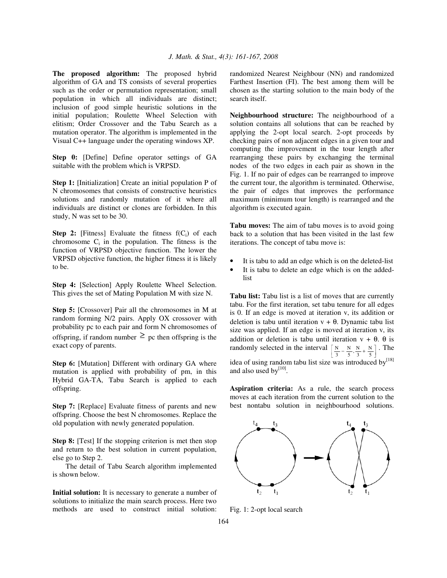**The proposed algorithm:** The proposed hybrid algorithm of GA and TS consists of several properties such as the order or permutation representation; small population in which all individuals are distinct; inclusion of good simple heuristic solutions in the initial population; Roulette Wheel Selection with elitism; Order Crossover and the Tabu Search as a mutation operator. The algorithm is implemented in the Visual C++ language under the operating windows XP.

**Step 0:** [Define] Define operator settings of GA suitable with the problem which is VRPSD.

**Step 1:** [Initialization] Create an initial population P of N chromosomes that consists of constructive heuristics solutions and randomly mutation of it where all individuals are distinct or clones are forbidden. In this study, N was set to be 30.

**Step 2:** [Fitness] Evaluate the fitness  $f(C_i)$  of each chromosome  $C_i$  in the population. The fitness is the function of VRPSD objective function. The lower the VRPSD objective function, the higher fitness it is likely to be.

**Step 4:** [Selection] Apply Roulette Wheel Selection. This gives the set of Mating Population M with size N.

**Step 5:** [Crossover] Pair all the chromosomes in M at random forming N/2 pairs. Apply OX crossover with probability pc to each pair and form N chromosomes of offspring, if random number  $\geq$  pc then offspring is the exact copy of parents.

**Step 6:** [Mutation] Different with ordinary GA where mutation is applied with probability of pm, in this Hybrid GA-TA, Tabu Search is applied to each offspring.

**Step 7:** [Replace] Evaluate fitness of parents and new offspring. Choose the best N chromosomes. Replace the old population with newly generated population.

**Step 8:** [Test] If the stopping criterion is met then stop and return to the best solution in current population, else go to Step 2.

The detail of Tabu Search algorithm implemented is shown below.

**Initial solution:** It is necessary to generate a number of solutions to initialize the main search process. Here two methods are used to construct initial solution:

randomized Nearest Neighbour (NN) and randomized Farthest Insertion (FI). The best among them will be chosen as the starting solution to the main body of the search itself.

**Neighbourhood structure:** The neighbourhood of a solution contains all solutions that can be reached by applying the 2-opt local search. 2-opt proceeds by checking pairs of non adjacent edges in a given tour and computing the improvement in the tour length after rearranging these pairs by exchanging the terminal nodes of the two edges in each pair as shown in the Fig. 1. If no pair of edges can be rearranged to improve the current tour, the algorithm is terminated. Otherwise, the pair of edges that improves the performance maximum (minimum tour length) is rearranged and the algorithm is executed again.

**Tabu moves:** The aim of tabu moves is to avoid going back to a solution that has been visited in the last few iterations. The concept of tabu move is:

- It is tabu to add an edge which is on the deleted-list
- It is tabu to delete an edge which is on the addedlist

**Tabu list:** Tabu list is a list of moves that are currently tabu. For the first iteration, set tabu tenure for all edges is 0. If an edge is moved at iteration v, its addition or deletion is tabu until iteration  $v + \theta$ . Dynamic tabu list size was applied. If an edge is moved at iteration v, its addition or deletion is tabu until iteration  $v + \theta$ .  $\theta$  is randomly selected in the interval  $\left[\frac{N}{3} - \frac{N}{5}, \frac{N}{3} + \frac{N}{5}\right]$  $\left[ \frac{N}{3} - \frac{N}{5}, \frac{N}{3} + \frac{N}{5} \right]$ . The idea of using random tabu list size was introduced by<sup>[18]</sup> and also used by<sup>[10]</sup>.

**Aspiration criteria:** As a rule, the search process moves at each iteration from the current solution to the best nontabu solution in neighbourhood solutions.



Fig. 1: 2-opt local search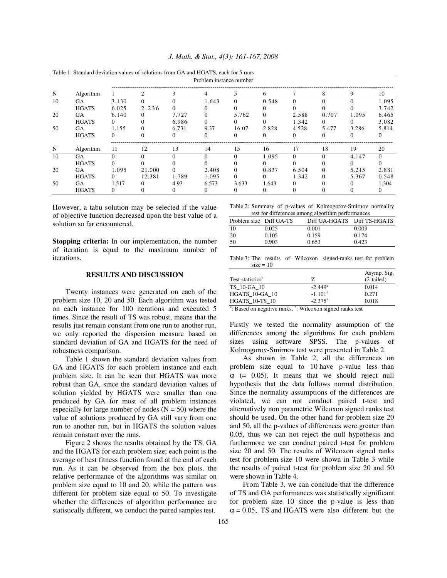|    | Table 1: Standard deviation values of solutions from GA and HGATS, each for 5 runs |          |        |          |          |          |              |          |       |          |          |
|----|------------------------------------------------------------------------------------|----------|--------|----------|----------|----------|--------------|----------|-------|----------|----------|
|    | Problem instance number                                                            |          |        |          |          |          |              |          |       |          |          |
| N  | Algorithm                                                                          |          | 2      | 3        | 4        | 5        | 6            |          | 8     | 9        | 10       |
| 10 | <b>GA</b>                                                                          | 3.130    | 0      |          | 1.643    | $\Omega$ | 0.548        |          |       |          | 1.095    |
|    | <b>HGATS</b>                                                                       | 6.025    | 2.236  | $\Omega$ |          | 0        | $\mathbf{U}$ |          |       |          | 3.742    |
| 20 | GА                                                                                 | 6.140    | 0      | 7.727    | 0        | 5.762    | $\Omega$     | 2.588    | 0.707 | 1.095    | 6.465    |
|    | <b>HGATS</b>                                                                       | $\Omega$ |        | 6.986    | 0        | 0        | 0            | 1.342    | 0     | $^{(1)}$ | 3.082    |
| 50 | GА                                                                                 | 1.155    | 0      | 6.731    | 9.37     | 16.07    | 2.828        | 4.528    | 5.477 | 3.286    | 5.814    |
|    | <b>HGATS</b>                                                                       | $\Omega$ |        | $^{(1)}$ | $\Omega$ | 0        | $\Omega$     | $\Omega$ | 0     | $^{(1)}$ | $\Omega$ |
| N  | Algorithm                                                                          | 11       | 12     | 13       | 14       | 15       | 16           | 17       | 18    | 19       | 20       |
| 10 | GA                                                                                 | $\Omega$ |        |          | $\Omega$ | 0        | 1.095        | $\Omega$ |       | 4.147    | $\Omega$ |
|    | <b>HGATS</b>                                                                       |          |        |          |          |          |              |          |       | 0        |          |
| 20 | GA                                                                                 | 1.095    | 21.000 |          | 2.408    | $\Omega$ | 0.837        | 6.504    | 0     | 5.215    | 2.881    |
|    | <b>HGATS</b>                                                                       | $\Omega$ | 12.381 | 1.789    | 1.095    | 0        | 0            | 1.342    | 0     | 5.367    | 0.548    |
| 50 | GA                                                                                 | 1.517    | 0      | 4.93     | 6.573    | 3.633    | 1.643        |          |       |          | 1.304    |
|    | <b>HGATS</b>                                                                       | $\Omega$ |        | $^{(1)}$ | $\theta$ | 0        | $\Omega$     |          |       |          | 0        |

*J. Math. & Stat., 4(3): 161-167, 2008*

However, a tabu solution may be selected if the value of objective function decreased upon the best value of a solution so far encountered.

**Stopping criteria:** In our implementation, the number of iteration is equal to the maximum number of iterations.

## **RESULTS AND DISCUSSION**

Twenty instances were generated on each of the problem size 10, 20 and 50. Each algorithm was tested on each instance for 100 iterations and executed 5 times. Since the result of TS was robust, means that the results just remain constant from one run to another run, we only reported the dispersion measure based on standard deviation of GA and HGATS for the need of robustness comparison.

Table 1 shown the standard deviation values from GA and HGATS for each problem instance and each problem size. It can be seen that HGATS was more robust than GA, since the standard deviation values of solution yielded by HGATS were smaller than one produced by GA for most of all problem instances especially for large number of nodes  $(N = 50)$  where the value of solutions produced by GA still vary from one run to another run, but in HGATS the solution values remain constant over the runs.

Figure 2 shows the results obtained by the TS, GA and the HGATS for each problem size; each point is the average of best fitness function found at the end of each run. As it can be observed from the box plots, the relative performance of the algorithms was similar on problem size equal to 10 and 20, while the pattern was different for problem size equal to 50. To investigate whether the differences of algorithm performance are statistically different, we conduct the paired samples test.

Table 2: Summary of p-values of Kolmogorov-Smirnov normality test for differences among algorithm performance

| test for unferences among argorithm performances |       |                             |       |  |  |  |  |
|--------------------------------------------------|-------|-----------------------------|-------|--|--|--|--|
| Problem size Diff GA-TS                          |       | Diff GA-HGATS Diff TS-HGATS |       |  |  |  |  |
| 10                                               | 0.025 | 0.001                       | 0.003 |  |  |  |  |
| 20                                               | 0.105 | 0.159                       | 0.174 |  |  |  |  |
| 50                                               | 0.903 | 0.653                       | 0.423 |  |  |  |  |

Table 3: The results of Wilcoxon signed-ranks test for problem  $size = 10$ 

|                              |                       | Asymp. Sig.  |
|------------------------------|-----------------------|--------------|
| Test statistics <sup>b</sup> | Z                     | $(2-tailed)$ |
| TS 10-GA 10                  | $-2.449$ <sup>a</sup> | 0.014        |
| <b>HGATS 10-GA 10</b>        | $-1.101a$             | 0.271        |
| <b>HGATS 10-TS 10</b>        | $-2.375^{\circ}$      | 0.018        |

<sup>a</sup>: Based on negative ranks, <sup>b</sup>: Wilcoxon signed ranks test

Firstly we tested the normality assumption of the differences among the algorithms for each problem sizes using software SPSS. The p-values of Kolmogorov-Smirnov test were presented in Table 2.

As shown in Table 2, all the differences on problem size equal to 10 have p-value less than  $\alpha$  (= 0.05). It means that we should reject null hypothesis that the data follows normal distribution. Since the normality assumptions of the differences are violated, we can not conduct paired t-test and alternatively non parametric Wilcoxon signed ranks test should be used. On the other hand for problem size 20 and 50, all the p-values of differences were greater than 0.05, thus we can not reject the null hypothesis and furthermore we can conduct paired t-test for problem size 20 and 50. The results of Wilcoxon signed ranks test for problem size 10 were shown in Table 3 while the results of paired t-test for problem size 20 and 50 were shown in Table 4.

From Table 3, we can conclude that the difference of TS and GA performances was statistically significant for problem size 10 since the p-value is less than  $\alpha$  = 0.05, TS and HGATS were also different but the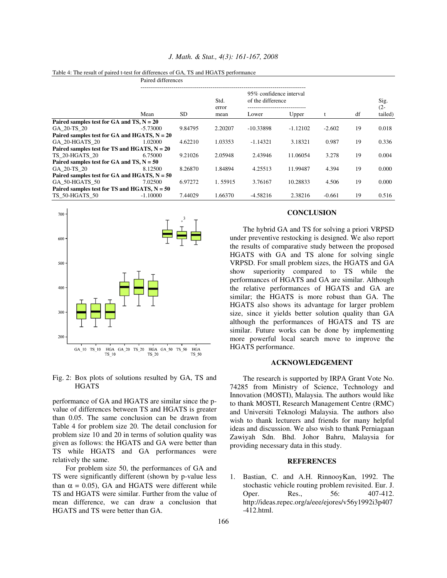|                                                |                                             | Paired differences |                       |                                              |            |          |    |                |
|------------------------------------------------|---------------------------------------------|--------------------|-----------------------|----------------------------------------------|------------|----------|----|----------------|
|                                                |                                             |                    | Std.<br>error<br>mean | 95% confidence interval<br>of the difference |            |          |    | Sig.<br>$(2 -$ |
|                                                | Mean                                        | SD                 |                       | Lower                                        | Upper      | t        | df | tailed)        |
|                                                | Paired samples test for GA and TS, $N = 20$ |                    |                       |                                              |            |          |    |                |
| GA 20-TS 20                                    | $-5.73000$                                  | 9.84795            | 2.20207               | $-10.33898$                                  | $-1.12102$ | $-2.602$ | 19 | 0.018          |
| Paired samples test for GA and HGATS, $N = 20$ |                                             |                    |                       |                                              |            |          |    |                |
| GA 20-HGATS 20                                 | 1.02000                                     | 4.62210            | 1.03353               | $-1.14321$                                   | 3.18321    | 0.987    | 19 | 0.336          |
| Paired samples test for TS and HGATS, $N = 20$ |                                             |                    |                       |                                              |            |          |    |                |
| <b>TS 20-HGATS 20</b>                          | 6.75000                                     | 9.21026            | 2.05948               | 2.43946                                      | 11.06054   | 3.278    | 19 | 0.004          |
| Paired samples test for GA and TS, $N = 50$    |                                             |                    |                       |                                              |            |          |    |                |
| GA 20-TS 20                                    | 8.12500                                     | 8.26870            | 1.84894               | 4.25513                                      | 11.99487   | 4.394    | 19 | 0.000          |
| Paired samples test for GA and HGATS, $N = 50$ |                                             |                    |                       |                                              |            |          |    |                |
| GA 50-HGATS 50                                 | 7.02500                                     | 6.97272            | 1.55915               | 3.76167                                      | 10.28833   | 4.506    | 19 | 0.000          |
| Paired samples test for TS and HGATS, $N = 50$ |                                             |                    |                       |                                              |            |          |    |                |
| TS 50-HGATS 50                                 | $-1.10000$                                  | 7.44029            | 1.66370               | $-4.58216$                                   | 2.38216    | $-0.661$ | 19 | 0.516          |

#### *J. Math. & Stat., 4(3): 161-167, 2008*

Table 4: The result of paired t-test for differences of GA, TS and HGATS performance



Fig. 2: Box plots of solutions resulted by GA, TS and **HGATS** 

performance of GA and HGATS are similar since the pvalue of differences between TS and HGATS is greater than 0.05. The same conclusion can be drawn from Table 4 for problem size 20. The detail conclusion for problem size 10 and 20 in terms of solution quality was given as follows: the HGATS and GA were better than TS while HGATS and GA performances were relatively the same.

For problem size 50, the performances of GA and TS were significantly different (shown by p-value less than  $\alpha = 0.05$ , GA and HGATS were different while TS and HGATS were similar. Further from the value of mean difference, we can draw a conclusion that HGATS and TS were better than GA.

## **CONCLUSION**

The hybrid GA and TS for solving a priori VRPSD under preventive restocking is designed. We also report the results of comparative study between the proposed HGATS with GA and TS alone for solving single VRPSD. For small problem sizes, the HGATS and GA show superiority compared to TS while the performances of HGATS and GA are similar. Although the relative performances of HGATS and GA are similar; the HGATS is more robust than GA. The HGATS also shows its advantage for larger problem size, since it yields better solution quality than GA although the performances of HGATS and TS are similar. Future works can be done by implementing more powerful local search move to improve the HGATS performance.

### **ACKNOWLEDGEMENT**

The research is supported by IRPA Grant Vote No. 74285 from Ministry of Science, Technology and Innovation (MOSTI), Malaysia. The authors would like to thank MOSTI, Research Management Centre (RMC) and Universiti Teknologi Malaysia. The authors also wish to thank lecturers and friends for many helpful ideas and discussion. We also wish to thank Perniagaan Zawiyah Sdn. Bhd. Johor Bahru, Malaysia for providing necessary data in this study.

## **REFERENCES**

1. Bastian, C. and A.H. RinnooyKan, 1992. The stochastic vehicle routing problem revisited. Eur. J. Oper. Res., 56: 407-412. http://ideas.repec.org/a/eee/ejores/v56y1992i3p407 -412.html.